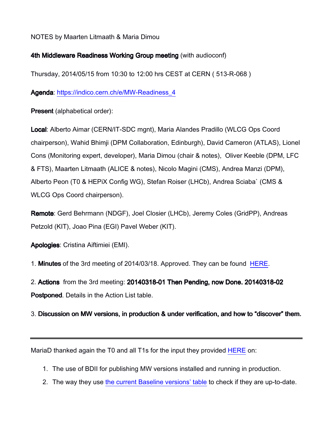## NOTES by Maarten Litmaath & Maria Dimou

## 4th Middleware Readiness Working Group meeting (with audioconf)

Thursday, 2014/05/15 from 10:30 to 12:00 hrs CEST at CERN ( 513-R-068 )

Agenda: [https://indico.cern.ch/e/MW-Readiness\\_4](https://indico.cern.ch/e/MW-Readiness_4)

Present (alphabetical order):

Local: Alberto Aimar (CERN/IT-SDC mgnt), Maria Alandes Pradillo (WLCG Ops Coord chairperson), Wahid Bhimji (DPM Collaboration, Edinburgh), David Cameron (ATLAS), Lionel Cons (Monitoring expert, developer), Maria Dimou (chair & notes), Oliver Keeble (DPM, LFC & FTS), Maarten Litmaath (ALICE & notes), Nicolo Magini (CMS), Andrea Manzi (DPM), Alberto Peon (T0 & HEPiX Config WG), Stefan Roiser (LHCb), Andrea Sciaba` (CMS & WLCG Ops Coord chairperson).

Remote: Gerd Behrmann (NDGF), Joel Closier (LHCb), Jeremy Coles (GridPP), Andreas Petzold (KIT), Joao Pina (EGI) Pavel Weber (KIT).

Apologies: Cristina Aiftimiei (EMI).

1. Minutes of the 3rd meeting of 2014/03/18. Approved. They can be found [HERE.](http://indico.cern.ch/event/306380/material/minutes/)

2. Actions from the 3rd meeting: 20140318-01 Then Pending, now Done. 20140318-02 Postponed. Details in the Action List table.

3. Discussion on MW versions, in production & under verification, and how to "discover" them.

MariaD thanked again the T0 and all T1s for the input they provided [HERE](https://twiki.cern.ch/twiki/bin/view/LCG/MiddlewareReadiness#MW_versions_in_production_T0_T1s) on:

- 1. The use of BDII for publishing MW versions installed and running in production.
- 2. The way they use [the current Baseline versions' table](https://twiki.cern.ch/twiki/bin/view/LCG/WLCGBaselineVersions#Baseline_versions_of_services_an) to check if they are up-to-date.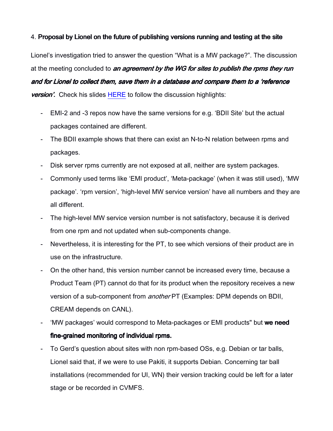## 4. Proposal by Lionel on the future of publishing versions running and testing at the site

Lionel's investigation tried to answer the question "What is a MW package?". The discussion at the meeting concluded to an agreement by the WG for sites to publish the rpms they run and for Lionel to collect them, save them in a database and compare them to a 'reference **version'.** Check his slides [HERE](https://indico.cern.ch/event/314807/material/slides/1.pdf) to follow the discussion highlights:

- EMI-2 and -3 repos now have the same versions for e.g. 'BDII Site' but the actual packages contained are different.
- The BDII example shows that there can exist an N-to-N relation between rpms and packages.
- Disk server rpms currently are not exposed at all, neither are system packages.
- Commonly used terms like 'EMI product', 'Meta-package' (when it was still used), 'MW package'. 'rpm version', 'high-level MW service version' have all numbers and they are all different.
- The high-level MW service version number is not satisfactory, because it is derived from one rpm and not updated when sub-components change.
- Nevertheless, it is interesting for the PT, to see which versions of their product are in use on the infrastructure.
- On the other hand, this version number cannot be increased every time, because a Product Team (PT) cannot do that for its product when the repository receives a new version of a sub-component from another PT (Examples: DPM depends on BDII, CREAM depends on CANL).
- 'MW packages' would correspond to Meta-packages or EMI products" but we need fine-grained monitoring of individual rpms.
- To Gerd's question about sites with non rpm-based OSs, e.g. Debian or tar balls, Lionel said that, if we were to use Pakiti, it supports Debian. Concerning tar ball installations (recommended for UI, WN) their version tracking could be left for a later stage or be recorded in CVMFS.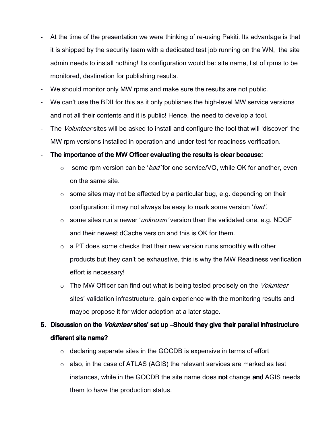- At the time of the presentation we were thinking of re-using Pakiti. Its advantage is that it is shipped by the security team with a dedicated test job running on the WN, the site admin needs to install nothing! Its configuration would be: site name, list of rpms to be monitored, destination for publishing results.
- We should monitor only MW rpms and make sure the results are not public.
- We can't use the BDII for this as it only publishes the high-level MW service versions and not all their contents and it is public! Hence, the need to develop a tool.
- The Volunteer sites will be asked to install and configure the tool that will 'discover' the MW rpm versions installed in operation and under test for readiness verification.

#### The importance of the MW Officer evaluating the results is clear because:

- $\circ$  some rpm version can be '*bad'* for one service/VO, while OK for another, even on the same site.
- $\circ$  some sites may not be affected by a particular bug, e.g. depending on their configuration: it may not always be easy to mark some version 'bad'.
- $\circ$  some sites run a newer '*unknown'* version than the validated one, e.g. NDGF and their newest dCache version and this is OK for them.
- o a PT does some checks that their new version runs smoothly with other products but they can't be exhaustive, this is why the MW Readiness verification effort is necessary!
- $\circ$  The MW Officer can find out what is being tested precisely on the *Volunteer* sites' validation infrastructure, gain experience with the monitoring results and maybe propose it for wider adoption at a later stage.
- 5. Discussion on the *Volunteer* sites' set up–Should they give their parallel infrastructure different site name?
	- o declaring separate sites in the GOCDB is expensive in terms of effort
	- o also, in the case of ATLAS (AGIS) the relevant services are marked as test instances, while in the GOCDB the site name does not change and AGIS needs them to have the production status.